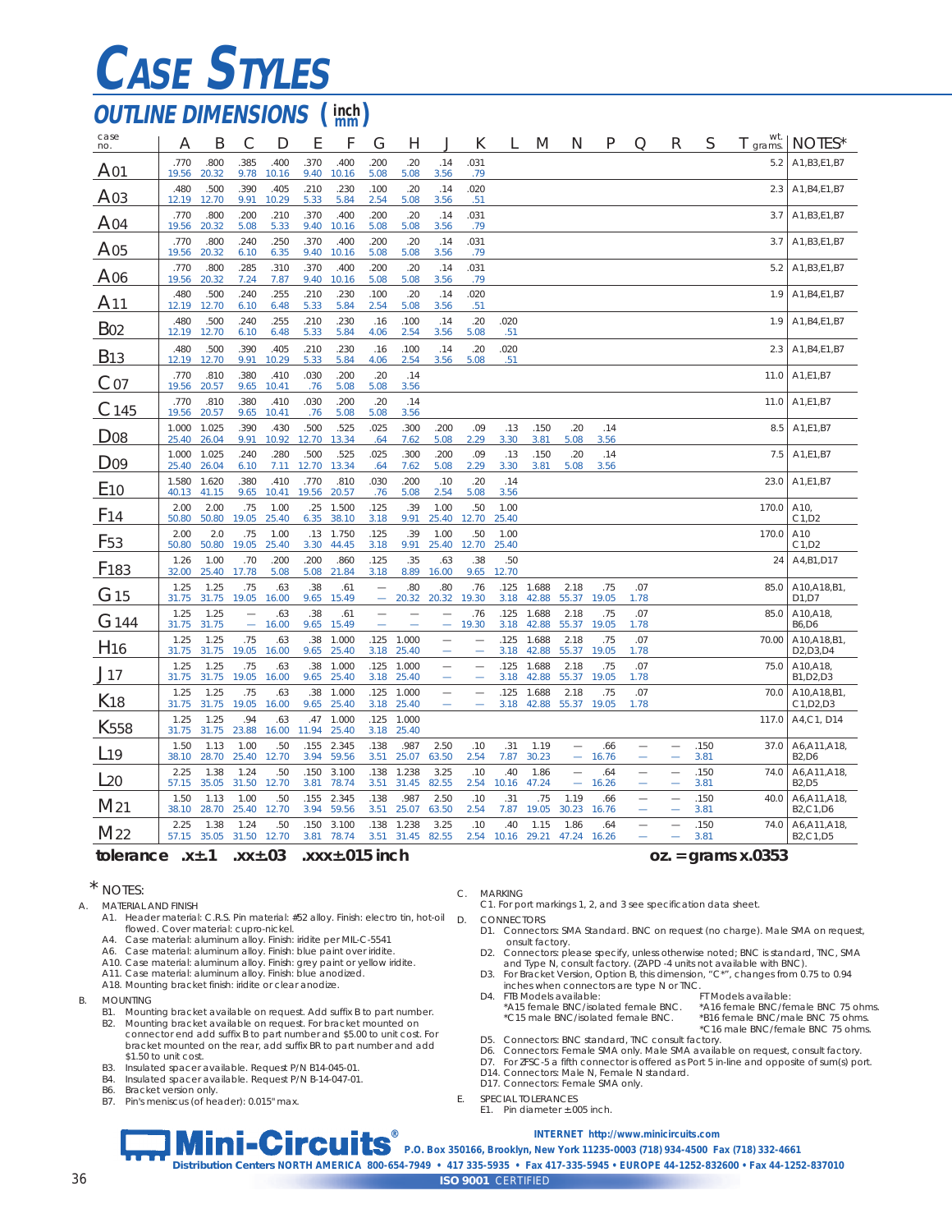# **CASE STYLES**

## *OUTLINE DIMENSIONS* ( $\frac{\text{inch}}{\text{mm}}$ )

| case<br>no.            | Α              | Β              | С                        | D             | E             | F              | G                             | Н              |                               | К                        |               | M              | N                                                    | Ρ            | О           | R                        | S            | wt.<br>grams. | NOTES*                                                            |
|------------------------|----------------|----------------|--------------------------|---------------|---------------|----------------|-------------------------------|----------------|-------------------------------|--------------------------|---------------|----------------|------------------------------------------------------|--------------|-------------|--------------------------|--------------|---------------|-------------------------------------------------------------------|
| A <sub>01</sub>        | .770<br>19.56  | .800<br>20.32  | 385<br>9.78              | .400<br>10.16 | .370<br>9.40  | .400<br>10.16  | 200<br>5.08                   | .20<br>5.08    | .14<br>3.56                   | 031<br>.79               |               |                |                                                      |              |             |                          |              | 5.2           | A1, B3, E1, B7                                                    |
| A <sub>03</sub>        | .480<br>12.19  | .500<br>12.70  | .390<br>9.91             | .405<br>10.29 | .210<br>5.33  | .230<br>5.84   | .100<br>2.54                  | .20<br>5.08    | .14<br>3.56                   | 020<br>.51               |               |                |                                                      |              |             |                          |              | 2.3           | A1, B4, E1, B7                                                    |
| A <sub>04</sub>        | .770<br>19.56  | .800<br>20.32  | .200<br>5.08             | .210<br>5.33  | .370<br>9.40  | .400<br>10.16  | .200<br>5.08                  | .20<br>5.08    | .14<br>3.56                   | 031<br>.79               |               |                |                                                      |              |             |                          |              | 3.7           | A1, B3, E1, B7                                                    |
| A05                    | .770<br>19.56  | .800<br>20.32  | .240<br>6.10             | .250<br>6.35  | .370<br>9.40  | .400<br>10.16  | .200<br>5.08                  | .20<br>5.08    | .14<br>3.56                   | 031<br>.79               |               |                |                                                      |              |             |                          |              | 3.7           | A1, B3, E1, B7                                                    |
| A06                    | .770<br>19.56  | .800<br>20.32  | .285<br>7.24             | .310<br>7.87  | .370<br>9.40  | .400<br>10.16  | .200<br>5.08                  | .20<br>5.08    | .14<br>3.56                   | .031<br>.79              |               |                |                                                      |              |             |                          |              | 5.2           | A1, B3, E1, B7                                                    |
| A11                    | .480<br>12.19  | .500<br>12.70  | .240<br>6.10             | .255<br>6.48  | .210<br>5.33  | .230<br>5.84   | .100<br>2.54                  | .20<br>5.08    | .14<br>3.56                   | .020<br>.51              |               |                |                                                      |              |             |                          |              | 1.9           | A1, B4, E1, B7                                                    |
| <b>B</b> <sub>02</sub> | .480<br>12.19  | .500<br>12.70  | .240<br>6.10             | .255<br>6.48  | .210<br>5.33  | .230<br>5.84   | .16<br>4.06                   | .100<br>2.54   | .14<br>3.56                   | .20<br>5.08              | .020<br>.51   |                |                                                      |              |             |                          |              | 1.9           | A1, B4, E1, B7                                                    |
| <b>B</b> <sub>13</sub> | .480<br>12.19  | .500<br>12.70  | .390<br>9.91             | .405<br>10.29 | .210<br>5.33  | .230<br>5.84   | .16<br>4.06                   | .100<br>2.54   | .14<br>3.56                   | .20<br>5.08              | .020<br>.51   |                |                                                      |              |             |                          |              | 2.3           | A1, B4, E1, B7                                                    |
| Co7                    | .770<br>19.56  | .810<br>20.57  | 380<br>9.65              | .410<br>10.41 | .030<br>.76   | 200<br>5.08    | .20<br>5.08                   | .14<br>3.56    |                               |                          |               |                |                                                      |              |             |                          |              | 11.0          | A1,E1,B7                                                          |
| C <sub>145</sub>       | .770<br>19.56  | .810<br>20.57  | .380<br>9.65             | .410<br>10.41 | .030<br>.76   | .200<br>5.08   | .20<br>5.08                   | .14<br>3.56    |                               |                          |               |                |                                                      |              |             |                          |              | 11.0          | A1,E1,B7                                                          |
| D <sub>08</sub>        | 1.000<br>25.40 | 1.025<br>26.04 | 390<br>9.91              | .430<br>10.92 | .500<br>12.70 | .525<br>13.34  | .025<br>.64                   | .300<br>7.62   | .200<br>5.08                  | .09<br>2.29              | .13<br>3.30   | .150<br>3.81   | .20<br>5.08                                          | .14<br>3.56  |             |                          |              | 8.5           | A1,E1,B7                                                          |
| D <sub>09</sub>        | 1.000<br>25.40 | 1.025<br>26.04 | .240<br>6.10             | .280<br>7.11  | .500<br>12.70 | 525<br>13.34   | .025<br>.64                   | .300<br>7.62   | .200<br>5.08                  | .09<br>2.29              | .13<br>3.30   | .150<br>3.81   | .20<br>5.08                                          | .14<br>3.56  |             |                          |              | 7.5           | A1,E1,B7                                                          |
| E <sub>10</sub>        | 1.580<br>40.13 | 1.620<br>41.15 | .380<br>9.65             | .410<br>10.41 | .770<br>19.56 | .810<br>20.57  | .030<br>.76                   | .200<br>5.08   | .10<br>2.54                   | .20<br>5.08              | .14<br>3.56   |                |                                                      |              |             |                          |              | 23.0          | A1,E1,B7                                                          |
| F <sub>14</sub>        | 2.00<br>50.80  | 2.00<br>50.80  | .75<br>19.05             | 1.00<br>25.40 | .25<br>6.35   | 1.500<br>38.10 | .125<br>3.18                  | .39<br>9.91    | 1.00<br>25.40                 | .50<br>12.70             | 1.00<br>25.40 |                |                                                      |              |             |                          |              | 170.0         | A10,<br>C1, D2                                                    |
| F <sub>53</sub>        | 2.00<br>50.80  | 2.0<br>50.80   | .75<br>19.05             | 1.00<br>25.40 | .13<br>3.30   | 1.750<br>44.45 | .125<br>3.18                  | .39<br>9.91    | 1.00<br>25.40                 | .50<br>12.70             | 1.00<br>25.40 |                |                                                      |              |             |                          |              | 170.0         | A10<br>C1, D2                                                     |
| F <sub>183</sub>       | 1.26<br>32.00  | 1.00<br>25.40  | .70<br>17.78             | .200<br>5.08  | .200<br>5.08  | .860<br>21.84  | .125<br>3.18                  | .35<br>8.89    | .63<br>16.00                  | .38<br>9.65              | .50<br>12.70  |                |                                                      |              |             |                          |              | 24            | A4, B1, D17                                                       |
| G <sub>15</sub>        | 1.25<br>31.75  | 1.25<br>31.75  | .75<br>19.05             | .63<br>16.00  | .38<br>9.65   | .61<br>15.49   | $\overline{\phantom{0}}$<br>÷ | .80<br>20.32   | .80<br>20.32                  | .76<br>19.30             | .125<br>3.18  | 1.688<br>42.88 | 2.18<br>55.37                                        | .75<br>19.05 | .07<br>1.78 |                          |              | 85.0          | A10, A18, B1,<br>D1.D7                                            |
| G <sub>144</sub>       | 1.25<br>31.75  | 1.25<br>31.75  | $\overline{\phantom{0}}$ | .63<br>16.00  | .38<br>9.65   | .61<br>15.49   |                               |                | ÷                             | .76<br>19.30             | .125<br>3.18  | 1.688<br>42.88 | 2.18<br>55.37                                        | .75<br>19.05 | .07<br>1.78 |                          |              | 85.0          | A10, A18<br><b>B6,D6</b>                                          |
| H <sub>16</sub>        | 1.25<br>31.75  | 1.25<br>31.75  | .75<br>19.05             | .63<br>16.00  | .38<br>9.65   | 1.000<br>25.40 | .125<br>3.18                  | 1.000<br>25.40 | -                             | $\overline{\phantom{a}}$ | .125<br>3.18  | 1.688<br>42.88 | 2.18<br>55.37                                        | .75<br>19.05 | .07<br>1.78 |                          |              | 70.00         | A10, A18, B1<br>D <sub>2</sub> , D <sub>3</sub> , D <sub>4</sub>  |
| J <sub>17</sub>        | 1.25<br>31.75  | 1.25<br>31.75  | .75<br>19.05             | .63<br>16.00  | .38<br>9.65   | 1.000<br>25.40 | .125<br>3.18                  | 1.000<br>25.40 | $\overline{\phantom{0}}$<br>÷ | -<br>-                   | .125<br>3.18  | 1.688<br>42.88 | 2.18<br>55.37                                        | .75<br>19.05 | .07<br>1.78 |                          |              | 75.0          | A10,A18<br>B1, D2, D3                                             |
| K <sub>18</sub>        | 1.25<br>31.75  | 1.25<br>31.75  | .75<br>19.05             | .63<br>16.00  | .38<br>9.65   | 1.000<br>25.40 | .125<br>3.18                  | 1.000<br>25.40 | -                             |                          | .125<br>3.18  | 1.688<br>42.88 | 2.18<br>55.37                                        | .75<br>19.05 | .07<br>1.78 |                          |              | 70.0          | A10, A18, B1,<br>C1, D2, D3                                       |
| K <sub>558</sub>       | 1.25<br>31.75  | 1.25<br>31.75  | .94<br>23.88             | .63<br>16.00  | .47<br>11.94  | 1.000<br>25.40 | .125<br>3.18                  | 1.000<br>25.40 |                               |                          |               |                |                                                      |              |             |                          |              | 117.0         | A4, C1, D14                                                       |
| $L$ 19                 | 1.50<br>38.10  | 1.13<br>28.70  | 1.00<br>25.40            | .50<br>12.70  | .155<br>3.94  | 2.345<br>59.56 | .138<br>3.51                  | .987<br>25.07  | 2.50<br>63.50                 | .10<br>2.54              | .31<br>7.87   | 1.19<br>30.23  | $\overline{\phantom{0}}$<br>$\overline{\phantom{0}}$ | .66<br>16.76 |             | -<br>۰                   | .150<br>3.81 | 37.0          | A6, A11, A18,<br><b>B2,D6</b>                                     |
| $L_{20}$               | 2.25<br>57.15  | 1.38<br>35.05  | 1.24<br>31.50            | .50<br>12.70  | .150<br>3.81  | 3.100<br>78.74 | .138<br>3.51                  | 1.238<br>31.45 | 3.25<br>82.55                 | .10<br>2.54              | .40<br>10.16  | 1.86<br>47.24  | $\overline{\phantom{0}}$<br>۰                        | .64<br>16.26 |             | ۰                        | .150<br>3.81 | 74.0          | A6, A11, A18<br><b>B2,D5</b>                                      |
| M <sub>21</sub>        | 1.50<br>38.10  | 1.13<br>28.70  | 1.00<br>25.40            | .50<br>12.70  | .155<br>3.94  | 2.345<br>59.56 | .138<br>3.51                  | .987<br>25.07  | 2.50<br>63.50                 | .10<br>2.54              | .31<br>7.87   | .75<br>19.05   | 1.19<br>30.23                                        | .66<br>16.76 | -           |                          | .150<br>3.81 | 40.0          | A6, A11, A18,<br>B <sub>2</sub> ,C <sub>1</sub> ,D <sub>6</sub>   |
| M <sub>22</sub>        | 2.25<br>57.15  | 1.38<br>35.05  | 1.24<br>31.50            | .50<br>12.70  | .150<br>3.81  | 3.100<br>78.74 | .138<br>3.51                  | 1.238<br>31.45 | 3.25<br>82.55                 | .10<br>2.54              | .40<br>10.16  | 1.15<br>29.21  | 1.86<br>47.24                                        | .64<br>16.26 |             | $\overline{\phantom{0}}$ | .150<br>3.81 | 74.0          | A6, A11, A18,<br>B <sub>2</sub> , C <sub>1</sub> , D <sub>5</sub> |

#### **tolerance .x±.1 .xx±.03 .xxx±.015 inch oz. = grams x.0353**

#### \* NOTES:

- A. MATERIAL AND FINISH
	- A1. Header material: C.R.S. Pin material: #52 alloy. Finish: electro tin, hot-oil D. flowed. Cover material: cupro-nickel.
	- A4. Case material: aluminum alloy. Finish: iridite per MIL-C-5541
	- A6. Case material: aluminum alloy. Finish: blue paint over iridite.
	- A10. Case material: aluminum alloy. Finish: grey paint or yellow iridite. A11. Case material: aluminum alloy. Finish: blue anodized.
	- A18. Mounting bracket finish: iridite or clear anodize.
- B. MOUNTING
	- B1. Mounting bracket available on request. Add suffix B to part number.<br>B2. Mounting bracket available on request. For bracket mounted on
	- B2. Mounting bracket available on request. For bracket mounted on connector end add suffix B to part number and \$5.00 to unit cost. For bracket mounted on the rear, add suffix BR to part number and add \$1.50 to unit cost.
	- B3. Insulated spacer available. Request P/N B14-045-01.<br>B4. Insulated spacer available. Request P/N B-14-047-01
	- B4. Insulated spacer available. Request P/N B-14-047-01.<br>B6. Bracket version only.<br>B7. Pin's meniscus (of headen): 0.015" max.
	-
	- B6. Bracket version only. B7. Pin's meniscus (of header): 0.015" max.

#### C. MARKING

C1. For port markings 1, 2, and 3 see specification data sheet. CONNECTORS

- D1. Connectors: SMA Standard. BNC on request (no charge). Male SMA on request, onsult factory.
- D2. Connectors: please specify, unless otherwise noted; BNC is standard, TNC, SMA
- and Type N, consult factory. (ZAPD -4 units not available with BNC). D3. For Bracket Version, Option B, this dimension, "C\*", changes from 0.75 to 0.94
- inches when connectors are type N or TNC. D4. FTB Models available:<br>\*A15 female BNC/isolated female BNC. \*A15 female BNC/isolated female BNC. \*A16 female BNC/female BNC 75 ohms.
	- \*C15 male BNC/isolated female BNC. \*B16 female BNC/male BNC 75 ohms. \*C16 male BNC/female BNC 75 ohms.
- D5. Connectors: BNC standard, TNC consult factory.
- D6. Connectors: Female SMA only. Male SMA available on request, consult factory.
- D7. For ZFSC-5 a fifth connector is offered as Port 5 in-line and opposite of sum(s) port. D14. Connectors: Male N, Female N standard.
- D17. Connectors: Female SMA only.
- E. SPECIAL TOLERANCES
	- E1. Pin diameter ±.005 inch.
	-

**®** *INTERNET* **http://www.minicircuits.com**

*ISO 9001 CERTIFIED* **P.O. Box 350166, Brooklyn, New York 11235-0003 (718) 934-4500 Fax (718) 332-4661** *Distribution Centers* **NORTH AMERICA 800-654-7949 • 417 335-5935 • Fax 417-335-5945 • EUROPE 44-1252-832600 • Fax 44-1252-837010**

36